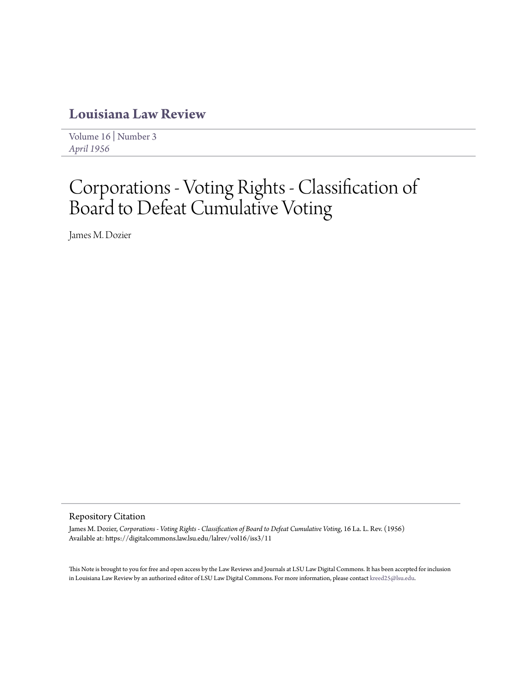# **[Louisiana Law Review](https://digitalcommons.law.lsu.edu/lalrev)**

[Volume 16](https://digitalcommons.law.lsu.edu/lalrev/vol16) | [Number 3](https://digitalcommons.law.lsu.edu/lalrev/vol16/iss3) *[April 1956](https://digitalcommons.law.lsu.edu/lalrev/vol16/iss3)*

# Corporations - Voting Rights - Classification of Board to Defeat Cumulative Voting

James M. Dozier

### Repository Citation

James M. Dozier, *Corporations - Voting Rights - Classification of Board to Defeat Cumulative Voting*, 16 La. L. Rev. (1956) Available at: https://digitalcommons.law.lsu.edu/lalrev/vol16/iss3/11

This Note is brought to you for free and open access by the Law Reviews and Journals at LSU Law Digital Commons. It has been accepted for inclusion in Louisiana Law Review by an authorized editor of LSU Law Digital Commons. For more information, please contact [kreed25@lsu.edu](mailto:kreed25@lsu.edu).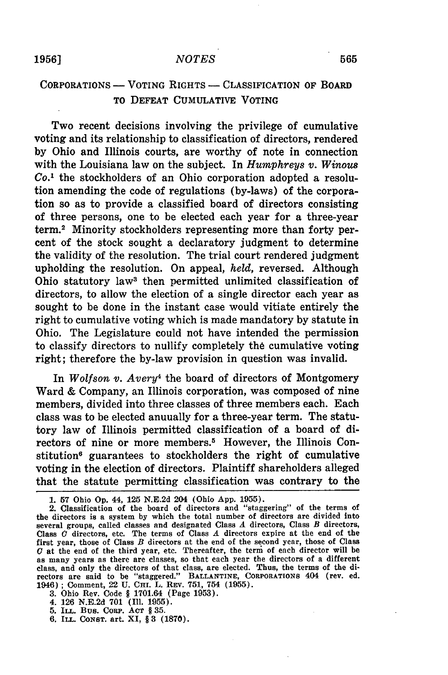# CORPORATIONS **-** VOTING RIGHTS **-** CLASSIFICATION OF BOARD TO **DEFEAT** CUMULATIVE VOTING

Two recent decisions involving the privilege of cumulative voting and its relationship to classification of directors, rendered **by** Ohio and Illinois courts, are worthy of note in connection with the Louisiana law on the subject. In *Humphreys v. Winous Co.'* the stockholders of an Ohio corporation adopted a resolution amending the code of regulations (by-laws) of the corporation so as to provide a classified board of directors consisting of three persons, one to be elected each year for a three-year term.2 Minority stockholders representing more than forty percent of the stock sought a declaratory judgment to determine the validity of the resolution. The trial court rendered judgment upholding the resolution. On appeal, *held,* reversed. Although Ohio statutory law3 then permitted unlimited classification of directors, to allow the election of a single director each year as sought to be done in the instant case would vitiate entirely the right to cumulative voting which is made mandatory by statute in Ohio. The Legislature could not have intended the permission to classify directors to nullify completely the cumulative voting right; therefore the by-law provision in question was invalid.

In *Wolfson v. Avery4* the board of directors of Montgomery Ward & Company, an Illinois corporation, was composed of nine members, divided into three classes of three members each. Each class was to be elected anuually for a three-year term. The statutory law of Illinois permitted classification of a board of directors of nine or more members.<sup>5</sup> However, the Illinois Constitution<sup>6</sup> guarantees to stockholders the right of cumulative voting in the election of directors. Plaintiff shareholders alleged that the statute permitting classification was contrary to the

- 4. **126 N.E.2d 701 (Ill. 1955). 5. ILL.** Bus. CoRp. **ACT** § **35.**
- 
- **6.** ILL. **CONST.** art. XI, § **3 (1870).**

**<sup>1. 57</sup>** Ohio **Op.** 44, **125** N.E.2d 204 (Ohio **App. 1955).**

<sup>2.</sup> Classification of the board of directors and "staggering" of the terms of the directors is a system by which the total number of directors are divided into several groups, called classes and designated Class **A** directors, Class B directors, Class **0** directors, etc. The terms of Class **A** directors expire at the end of the first year, those of Class  $B$  directors at the end of the second year, those of Class **0** at the end of the third year, etc. Thereafter, the term of each director will be as many years as there are classes, so that each year the directors of a different class, and only the directors of that class, are elected. Thus, the terms of the di-rectors are said to be "staggered." **BALLANTINE, CORPORATIONs** 404 (rev. ed. 1946) **;** Comment, 22 **U.** CHi. L. **REV. 751,** 754 **(1955). 3.** Ohio Rev. Code § 1701.64 (Page **1953).**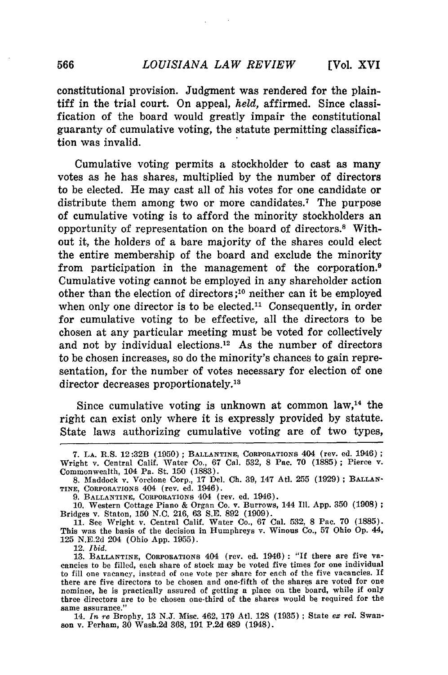constitutional provision. Judgment was rendered for the plaintiff in the trial court. On appeal, *held,* affirmed. Since classification of the board would greatly impair the constitutional guaranty of cumulative voting, the statute permitting classification was invalid.

Cumulative voting permits a stockholder to cast as many votes as he has shares, multiplied by the number of directors to be elected. He may cast all of his votes for one candidate or distribute them among two or more candidates.<sup>7</sup> The purpose of cumulative voting is to afford the minority stockholders an opportunity of representation on the board of directors." Without it, the holders of a bare majority of the shares could elect the entire membership of the board and exclude the minority from participation in the management of the corporation.9 Cumulative voting cannot be employed in any shareholder action other than the election of directors **;1o** neither can it be employed when only one director is to be elected.<sup>11</sup> Consequently, in order for cumulative voting to be effective, all the directors to be chosen at any particular meeting must be voted for collectively and not by individual elections.<sup>12</sup> As the number of directors to be chosen increases, so do the minority's chances to gain representation, for the number of votes necessary for election of one director decreases proportionately.<sup>13</sup>

Since cumulative voting is unknown at common  $law<sub>14</sub>$ , the right can exist only where it is expressly provided by statute. State laws authorizing cumulative voting are of two types,

12. *Ibid.*

14. *In re* Brophy, 13 **N.J.** Misc. 462, 179 Atl. 128 (1935) **;** State *ex rel.* Swanson v. Perham, 30 Wash.2d 368, 191 P.2d 689 (1948).

**<sup>7.</sup> LA.** R.S. 12:32B (1950) **; BALLANTINE,** CORPORATIONS 404 (rev. ed. 1946) **;** Wright v. Central Calif. Water Co., **67** Cal. **532, 8** Pac. **70 (1885);** Pierce v. Commonwealth, 104 Pa. St. **150 (1883).**

**<sup>8.</sup>** Maddock v. Vorclone Corp., **17** Del. **Ch. 39,** 147 Atl. **255 (1929) ; BALLAN-TINE, CORPORATIONS** 404 (rev. ed. 1946).

<sup>9.</sup> BALLANTINE, CORPORATIONS 404 (rev. ed. 1946).<br>10. Western Cottage Piano & Organ Co. v. Burrows, 144 Ill. App. 350 (1908)<br>Bridges v. Staton, 150 N.C. 216, 63 S.E. 892 (1909).<br>11. See Wright v. Central Calif. Water Co., 6

This was the basis of the decision in Humphreys v. Winous Co., **57** Ohio **Op.** 44, **125 N.E.2d** 204 (Ohio App. **1955).**

<sup>13.</sup> **BALLANTINE, CORPORATIONS** 404 (rev. ed. 1946): "If there are five vacancies to be filled, each share of stock may be voted five times for one individual to fill one vacancy, instead of one vote per share for each of the five vacancies. If there are five directors to be chosen and one-fifth of the shares are voted for one nominee, he is practically assured of getting a place on the board, while if only three directors are to be chosen one-third of the shares would be required for the same assurance."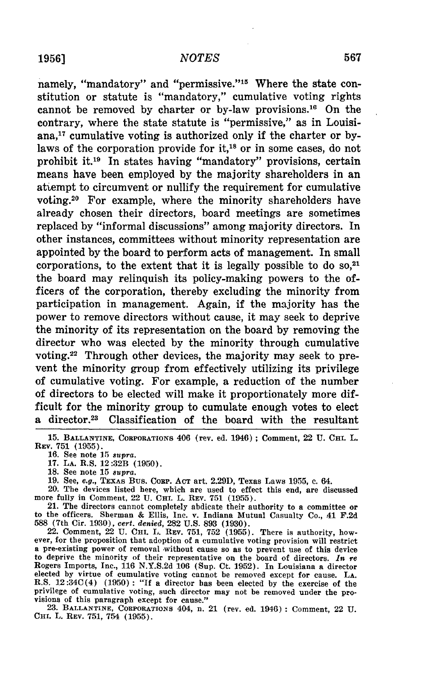#### *NOTES*

namely, "mandatory" and "permissive."<sup>15</sup> Where the state constitution or statute is "mandatory," cumulative voting rights cannot be removed by charter or by-law provisions.<sup>16</sup> On the contrary, where the state statute is "permissive," as in Louisiana,17 cumulative voting is authorized only if the charter or bylaws of the corporation provide for it,<sup>18</sup> or in some cases, do not prohibit it.<sup>19</sup> In states having "mandatory" provisions, certain means have been employed by the majority shareholders in an atiempt to circumvent or nullify the requirement for cumulative voting.20 For example, where the minority shareholders have already chosen their directors, board meetings are sometimes replaced by "informal discussions" among majority directors. In other instances, committees without minority representation are appointed by the board to perform acts of management. In small corporations, to the extent that it is legally possible to do  $so,^{21}$ the board may relinquish its policy-making powers to the officers of the corporation, thereby excluding the minority from participation in management. Again, if the majority has the power to remove directors without cause, it may seek to deprive the minority of its representation on the board by removing the director who was elected by the minority through cumulative voting.<sup>22</sup> Through other devices, the majority may seek to prevent the minority group from effectively utilizing its privilege of cumulative voting. For example, a reduction of the number of directors to be elected will make it proportionately more difficult for the minority group to cumulate enough votes to elect a director.23 Classification of the board with the resultant

20. The devices listed here, which are used to effect this end, are discussed more fully in Comment, 22 **U.** CHI. L. **REV. 751 (1955).**

21. The directors cannot completely abdicate their authority to a committee or **588** (7th Cir. **1930),** *cert. denied,* **282 U.S. 893 (1930).**

22. Comment, 22 **U. CHI. L. REV. 751, 752 (1955).** There is authority, how- ever, for the proposition that adoption of a cumulative voting provision will restrict ever, for the proposition that adoption of a cumulative voting provision will restrict a pre-existing power of removal without cause so as to prevent use of this device to deprive the minority of their representative on the board of directors. *In re* Rogers Imports, Inc., **116 N.Y.S.2d 106** (Sup. Ct. **1952).** In Louisiana a director elected **by** virtue of cumulative voting cannot be removed except for cause. **LA.** R.S. 12:34C(4) **(1.950) : "If** a director has been elected **by** the exercise of the privilege of cumulative voting, such director may not be removed under the provisions of this paragraph except for cause."

**23. BALLANTINE, CORPORATIONS** 404, **n.** 21 (rev. ed. 1946) **:** Comment, 22 **U.** Cur. L. **REV. 751,** 754 **(1955).**

**<sup>15.</sup> BALLANTINE,** CORPORATIONS 406 (rev. ed. 1946) ; Comment, 22 **U. CHI.** L. **REV. 751 (1955).**

**<sup>16.</sup>** See note **15** *supra.*

**<sup>17.</sup> LA.** R.S. 12:32B **(1950).**

**<sup>18.</sup>** See note **15** *supra.*

**<sup>19.</sup>** See, *e.g.,* **TEXAS Bus. CORP. ACT art. 2.29D, Texas Laws 1955, c.** 64.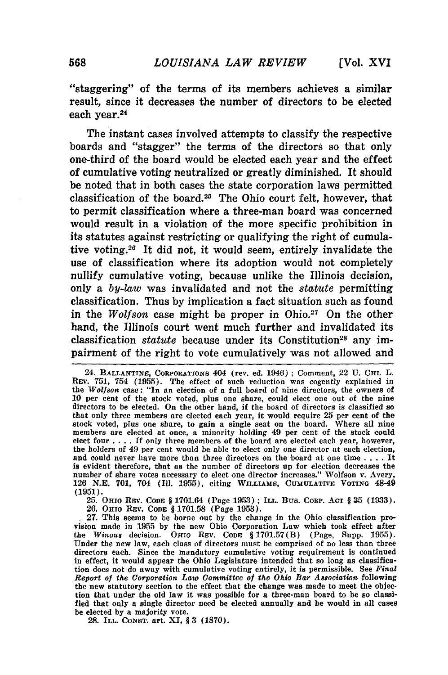"staggering" of the terms of its members achieves a similar result, since it decreases the number of directors to be elected each year.<sup>24</sup>

The instant cases involved attempts to classify the respective boards and "stagger" the terms of the directors so that only one-third of the board would be elected each year and the effect of cumulative voting neutralized or greatly diminished. It should be noted that in both cases the state corporation laws permitted classification of the board. 25 The Ohio court felt, however, that to permit classification where a three-man board was concerned would result in a violation of the more specific prohibition in its statutes against restricting or qualifying the right of cumulative voting.26 It did not, it would seem, entirely invalidate the use of classification where its adoption would not completely nullify cumulative voting, because unlike the Illinois decision, only a *by-law* was invalidated and not the *statute* permitting classification. Thus **by** implication a fact situation such as found in the *Wolfson* case might be proper in Ohio.<sup>27</sup> On the other hand, the Illinois court went much further and invalidated its classification *statute* because under its Constitution<sup>28</sup> any impairment of the right to vote cumulatively was not allowed and

25. OHIO REV. CODE § 1701.64 (Page **1953)** ; **ILL.** Bus. CoRp. **ACT** § 35 (1933). 26. OHIO **REV. CODE** § 1701.58 (Page 1953).

27. This seems to be borne out by the change in the Ohio classification provision made in 1955 by the new Ohio Corporation Law which took effect after the *Winous* decision. OHIO REV. **CODE** § 1701.57(B) (Page, Supp. 1955). Under the new law, each class of directors must be comprised of no less than three directors each. Since the mandatory cumulative voting requirement is continued in effect, it would appear the Ohio Legislature intended that so long as classification does not do away with cumulative voting entirely, it is permissible. See *Final Report of the Corporation Law Committee of the Ohio Bar Association* following the new statutory section to the effect that the change was made to meet the objection that under the old law it was possible for a three-man board to be so classified that only a single director need be elected annually and he would in all cases be elected by a majority vote.

**28.** ILL. **CONST.** art. XI, § **3** (1870).

<sup>24.</sup> **BALLANTINE, CORPORATIONS** 404 (rev. ed. 1946) ; Comment, 22 **U. CH.** L. REV. 751, 754 **(1955).** The effect of such reduction was cogently explained in the *Wolfson* **case:** "In an election of a full board of nine directors, the owners of 10 per cent of the stock voted, plus one share, could elect one out of the nine directors to be elected. On the other hand, if the board of directors is classified so that only three members are elected each year, it would require 25 per cent of the stock voted, plus one share, to gain a single seat on the board. Where all nine members are elected at once, a minority holding 49 per cent of the stock could elect four .... If only three members of the board are elected each year, however, the holders of 49 per cent would be able to elect only one director at each election, and could never have more than three directors on the board at one time . **. .** . It is evident therefore, that as the number of directors up for election decreases the number of share votes necessary to elect one director increases." Wolfson v. Avery, 126 N.E. 701, 704 **(I1.** 1955), citing WILLIAMS, **CUMULATIE VOTING** 48-49 (1951).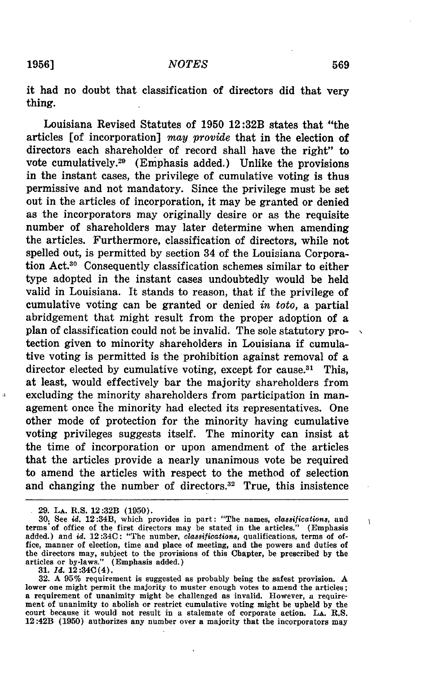it had no doubt that classification of directors did that very thing.

Louisiana Revised Statutes of **1950** 12:32B states that "the articles [of incorporation] *may provide* that in the election of directors each shareholder of record shall have the right" to vote cumulatively.29 (Emphasis added.) Unlike the provisions in the instant cases, the privilege of cumulative voting is thus permissive and not mandatory. Since the privilege must be set out in the articles of incorporation, it may be granted or denied as the incorporators may originally desire or as the requisite number of shareholders may later determine when amending the articles. Furthermore, classification of directors, while not spelled out, is permitted **by** section 34 of the Louisiana Corporation Act.30 Consequently classification schemes similar to either type adopted in the instant cases undoubtedly would be held valid in Louisiana. It stands to reason, that if the privilege of cumulative voting can be granted or denied *in toto,* a partial abridgement that might result from the proper adoption of a plan of classification could not be invalid. The sole statutory protection given to minority shareholders in Louisiana if cumulative voting is permitted is the prohibition against removal of a director elected by cumulative voting, except for cause.<sup>31</sup> This, at least, would effectively bar the majority shareholders from excluding the minority shareholders from participation in management once **the** minority had elected its representatives. One other mode of protection for the minority having cumulative voting privileges suggests itself. The minority can insist at the time of incorporation or upon amendment of the articles that the articles provide a nearly unanimous vote be required to amend the articles with respect to the method of selection and changing the number of directors.<sup>32</sup> True, this insistence

**32. A 95%** requirement is suggested as probably being the safest provision. **A** lower one might permit the majority to muster enough votes to amend the articles; a requirement of unanimity might be challenged as invalid. However, a requirement of unanimity to abolish or restrict cumulative voting might **be** upheld **by** the court because it would not result in a stalemate of corporate action. **LA.** R.S. 12:42B **(1950)** authorizes any number over a majority that the incorporators may

 $\alpha$ 

 $\mathbf{I}$ 

**<sup>29.</sup> LA.** R.S. 12:32B **(1950).**

**<sup>30.</sup>** See *id.* 12:34B, which provides in part: "The names, *classifications,* and terms'of office of the first directors may **be** stated in the articles." (Emphasis added.) and *id.* 12:34C: "The number, *classifications,* qualifications, terms of office, manner of election, time and place of meeting, and the powers and duties **of** the directors may, subject to the provisions of this Chapter, **be** prescribed **by** the articles or by-laws." (Emphasis added.) **31.** *Id.* **12:34C(4).**